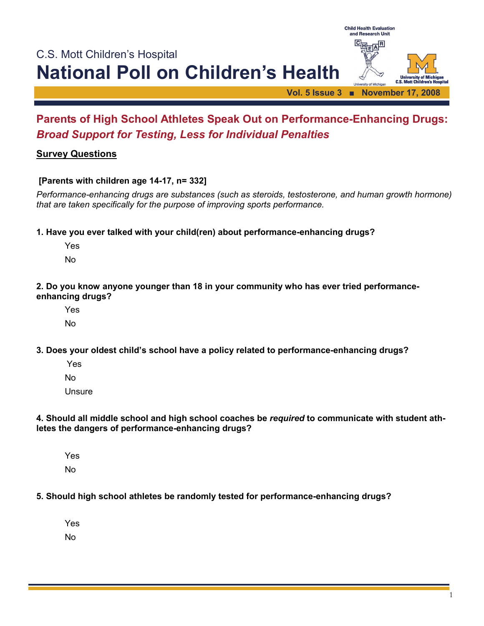

# **Parents of High School Athletes Speak Out on Performance-Enhancing Drugs:**  *Broad Support for Testing, Less for Individual Penalties*

## **Survey Questions**

#### **[Parents with children age 14-17, n= 332]**

*Performance-enhancing drugs are substances (such as steroids, testosterone, and human growth hormone) that are taken specifically for the purpose of improving sports performance.* 

**1. Have you ever talked with your child(ren) about performance-enhancing drugs?**

Yes

No

**2. Do you know anyone younger than 18 in your community who has ever tried performanceenhancing drugs?**

Yes

No

**3. Does your oldest child's school have a policy related to performance-enhancing drugs?** 

Yes

No

**Unsure** 

**4. Should all middle school and high school coaches be** *required* **to communicate with student athletes the dangers of performance-enhancing drugs?** 

 Yes No

**5. Should high school athletes be randomly tested for performance-enhancing drugs?** 

 Yes No